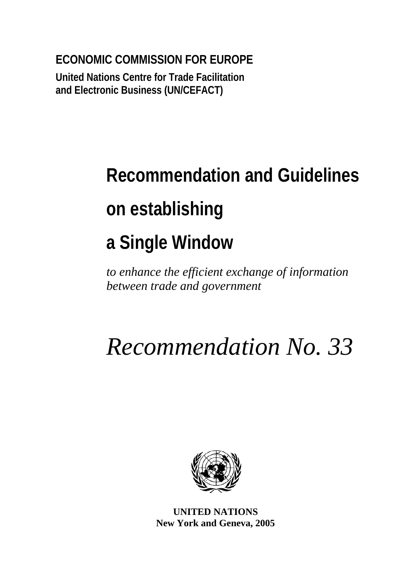**ECONOMIC COMMISSION FOR EUROPE** 

**United Nations Centre for Trade Facilitation and Electronic Business (UN/CEFACT)** 

# **Recommendation and Guidelines on establishing a Single Window**

*to enhance the efficient exchange of information between trade and government* 

# *Recommendation No. 33*



**UNITED NATIONS New York and Geneva, 2005**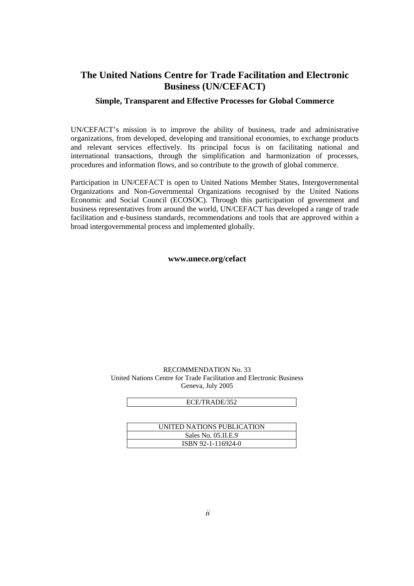#### **The United Nations Centre for Trade Facilitation and Electronic Business (UN/CEFACT)**

#### **Simple, Transparent and Effective Processes for Global Commerce**

UN/CEFACT's mission is to improve the ability of business, trade and administrative organizations, from developed, developing and transitional economies, to exchange products and relevant services effectively. Its principal focus is on facilitating national and international transactions, through the simplification and harmonization of processes, procedures and information flows, and so contribute to the growth of global commerce.

Participation in UN/CEFACT is open to United Nations Member States, Intergovernmental Organizations and Non-Governmental Organizations recognised by the United Nations Economic and Social Council (ECOSOC). Through this participation of government and business representatives from around the world, UN/CEFACT has developed a range of trade facilitation and e-business standards, recommendations and tools that are approved within a broad intergovernmental process and implemented globally.

#### **www.unece.org/cefact**

#### RECOMMENDATION No. 33 United Nations Centre for Trade Facilitation and Electronic Business Geneva, July 2005

| UNITED NATIONS PUBLICATION |
|----------------------------|
| Sales No. 05.II.E.9        |
| ISBN 92-1-116924-0         |

ECE/TRADE/352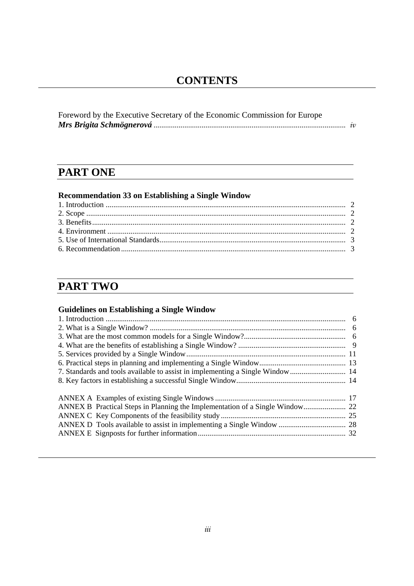## **CONTENTS**

| Foreword by the Executive Secretary of the Economic Commission for Europe |  |
|---------------------------------------------------------------------------|--|
|                                                                           |  |

# **PART ONE**

## **Recommendation 33 on Establishing a Single Window**

# **PART TWO**

## **Guidelines on Establishing a Single Window**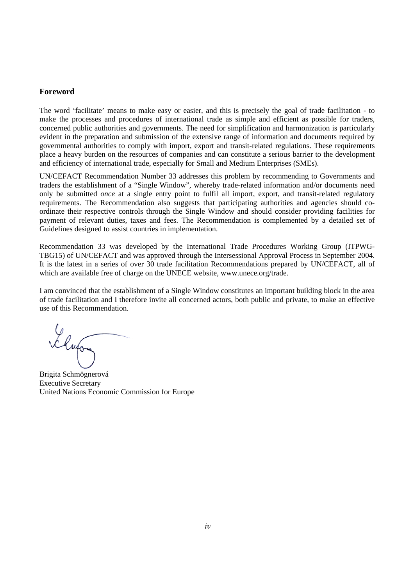#### **Foreword**

The word 'facilitate' means to make easy or easier, and this is precisely the goal of trade facilitation - to make the processes and procedures of international trade as simple and efficient as possible for traders, concerned public authorities and governments. The need for simplification and harmonization is particularly evident in the preparation and submission of the extensive range of information and documents required by governmental authorities to comply with import, export and transit-related regulations. These requirements place a heavy burden on the resources of companies and can constitute a serious barrier to the development and efficiency of international trade, especially for Small and Medium Enterprises (SMEs).

UN/CEFACT Recommendation Number 33 addresses this problem by recommending to Governments and traders the establishment of a "Single Window", whereby trade-related information and/or documents need only be submitted *once* at a single entry point to fulfil all import, export, and transit-related regulatory requirements. The Recommendation also suggests that participating authorities and agencies should coordinate their respective controls through the Single Window and should consider providing facilities for payment of relevant duties, taxes and fees. The Recommendation is complemented by a detailed set of Guidelines designed to assist countries in implementation.

Recommendation 33 was developed by the International Trade Procedures Working Group (ITPWG-TBG15) of UN/CEFACT and was approved through the Intersessional Approval Process in September 2004. It is the latest in a series of over 30 trade facilitation Recommendations prepared by UN/CEFACT, all of which are available free of charge on the UNECE website, www.unece.org/trade.

I am convinced that the establishment of a Single Window constitutes an important building block in the area of trade facilitation and I therefore invite all concerned actors, both public and private, to make an effective use of this Recommendation.

Elufos

Brigita Schmögnerová Executive Secretary United Nations Economic Commission for Europe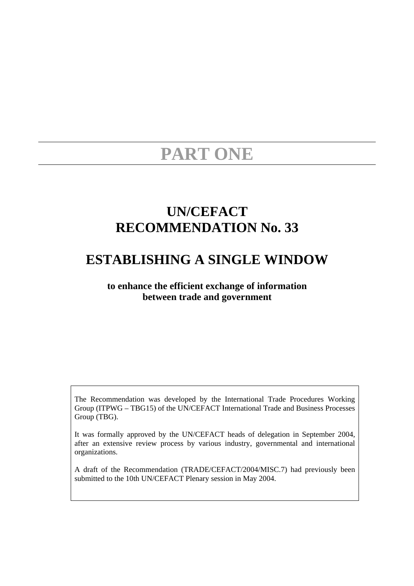# **PART ONE**

# **UN/CEFACT RECOMMENDATION No. 33**

# **ESTABLISHING A SINGLE WINDOW**

#### **to enhance the efficient exchange of information between trade and government**

The Recommendation was developed by the International Trade Procedures Working Group (ITPWG – TBG15) of the UN/CEFACT International Trade and Business Processes Group (TBG).

It was formally approved by the UN/CEFACT heads of delegation in September 2004, after an extensive review process by various industry, governmental and international organizations.

A draft of the Recommendation (TRADE/CEFACT/2004/MISC.7) had previously been submitted to the 10th UN/CEFACT Plenary session in May 2004.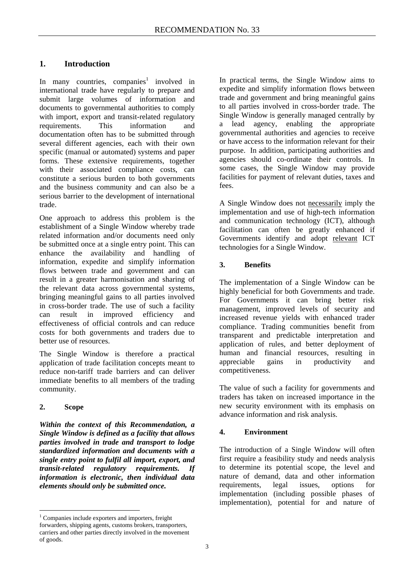#### **1. Introduction**

Inmany countries, companies<sup>1</sup> involved in international trade have regularly to prepare and submit large volumes of information and documents to governmental authorities to comply with import, export and transit-related regulatory requirements. This information and documentation often has to be submitted through several different agencies, each with their own specific (manual or automated) systems and paper forms. These extensive requirements, together with their associated compliance costs, can constitute a serious burden to both governments and the business community and can also be a serious barrier to the development of international trade.

One approach to address this problem is the establishment of a Single Window whereby trade related information and/or documents need only be submitted once at a single entry point. This can enhance the availability and handling of information, expedite and simplify information flows between trade and government and can result in a greater harmonisation and sharing of the relevant data across governmental systems, bringing meaningful gains to all parties involved in cross-border trade. The use of such a facility can result in improved efficiency and effectiveness of official controls and can reduce costs for both governments and traders due to better use of resources.

The Single Window is therefore a practical application of trade facilitation concepts meant to reduce non-tariff trade barriers and can deliver immediate benefits to all members of the trading community.

#### **2. Scope**

 $\overline{a}$ 

*Within the context of this Recommendation, a Single Window is defined as a facility that allows parties involved in trade and transport to lodge standardized information and documents with a single entry point to fulfil all import, export, and transit-related regulatory requirements. If information is electronic, then individual data elements should only be submitted once.* 

In practical terms, the Single Window aims to expedite and simplify information flows between trade and government and bring meaningful gains to all parties involved in cross-border trade. The Single Window is generally managed centrally by a lead agency, enabling the appropriate governmental authorities and agencies to receive or have access to the information relevant for their purpose. In addition, participating authorities and agencies should co-ordinate their controls. In some cases, the Single Window may provide facilities for payment of relevant duties, taxes and fees.

A Single Window does not necessarily imply the implementation and use of high-tech information and communication technology (ICT), although facilitation can often be greatly enhanced if Governments identify and adopt relevant ICT technologies for a Single Window.

#### **3. Benefits**

The implementation of a Single Window can be highly beneficial for both Governments and trade. For Governments it can bring better risk management, improved levels of security and increased revenue yields with enhanced trader compliance. Trading communities benefit from transparent and predictable interpretation and application of rules, and better deployment of human and financial resources, resulting in appreciable gains in productivity and competitiveness.

The value of such a facility for governments and traders has taken on increased importance in the new security environment with its emphasis on advance information and risk analysis.

#### **4. Environment**

The introduction of a Single Window will often first require a feasibility study and needs analysis to determine its potential scope, the level and nature of demand, data and other information requirements, legal issues, options for implementation (including possible phases of implementation), potential for and nature of

<span id="page-6-0"></span><sup>&</sup>lt;sup>1</sup> Companies include exporters and importers, freight forwarders, shipping agents, customs brokers, transporters, carriers and other parties directly involved in the movement of goods.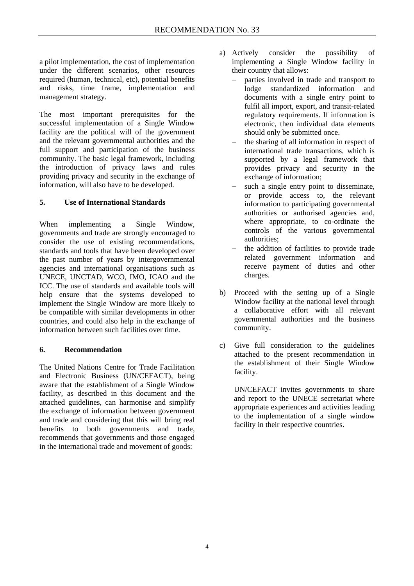a pilot implementation, the cost of implementation under the different scenarios, other resources required (human, technical, etc), potential benefits and risks, time frame, implementation and management strategy.

The most important prerequisites for the successful implementation of a Single Window facility are the political will of the government and the relevant governmental authorities and the full support and participation of the business community. The basic legal framework, including the introduction of privacy laws and rules providing privacy and security in the exchange of information, will also have to be developed.

#### **5. Use of International Standards**

When implementing a Single Window, governments and trade are strongly encouraged to consider the use of existing recommendations, standards and tools that have been developed over the past number of years by intergovernmental agencies and international organisations such as UNECE, UNCTAD, WCO, IMO, ICAO and the ICC. The use of standards and available tools will help ensure that the systems developed to implement the Single Window are more likely to be compatible with similar developments in other countries, and could also help in the exchange of information between such facilities over time.

#### **6. Recommendation**

The United Nations Centre for Trade Facilitation and Electronic Business (UN/CEFACT), being aware that the establishment of a Single Window facility, as described in this document and the attached guidelines, can harmonise and simplify the exchange of information between government and trade and considering that this will bring real benefits to both governments and trade, recommends that governments and those engaged in the international trade and movement of goods:

- a) Actively consider the possibility of implementing a Single Window facility in their country that allows:
	- parties involved in trade and transport to lodge standardized information and documents with a single entry point to fulfil all import, export, and transit-related regulatory requirements. If information is electronic, then individual data elements should only be submitted once.
	- the sharing of all information in respect of international trade transactions, which is supported by a legal framework that provides privacy and security in the exchange of information;
	- such a single entry point to disseminate, or provide access to, the relevant information to participating governmental authorities or authorised agencies and, where appropriate, to co-ordinate the controls of the various governmental authorities;
	- the addition of facilities to provide trade related government information and receive payment of duties and other charges.
- b) Proceed with the setting up of a Single Window facility at the national level through a collaborative effort with all relevant governmental authorities and the business community.
- c) Give full consideration to the guidelines attached to the present recommendation in the establishment of their Single Window facility.

UN/CEFACT invites governments to share and report to the UNECE secretariat where appropriate experiences and activities leading to the implementation of a single window facility in their respective countries.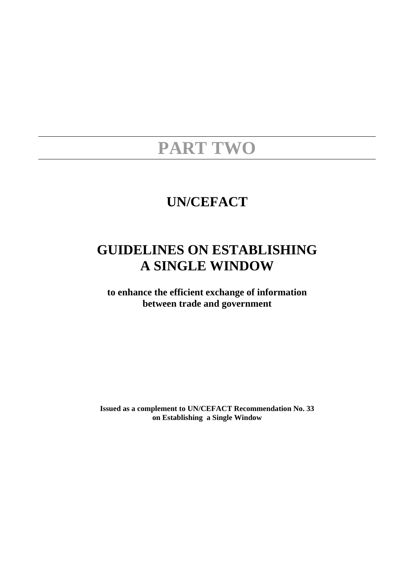# **PART TWO**

# **UN/CEFACT**

# **GUIDELINES ON ESTABLISHING A SINGLE WINDOW**

**to enhance the efficient exchange of information between trade and government** 

**Issued as a complement to UN/CEFACT Recommendation No. 33 on Establishing a Single Window**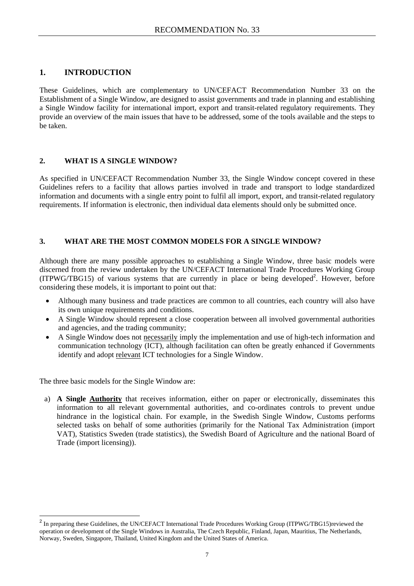#### **1. INTRODUCTION**

These Guidelines, which are complementary to UN/CEFACT Recommendation Number 33 on the Establishment of a Single Window, are designed to assist governments and trade in planning and establishing a Single Window facility for international import, export and transit-related regulatory requirements. They provide an overview of the main issues that have to be addressed, some of the tools available and the steps to be taken.

#### **2. WHAT IS A SINGLE WINDOW?**

As specified in UN/CEFACT Recommendation Number 33, the Single Window concept covered in these Guidelines refers to a facility that allows parties involved in trade and transport to lodge standardized information and documents with a single entry point to fulfil all import, export, and transit-related regulatory requirements. If information is electronic, then individual data elements should only be submitted once.

#### **3. WHAT ARE THE MOST COMMON MODELS FOR A SINGLE WINDOW?**

Although there are many possible approaches to establishing a Single Window, three basic models were discerned from the review undertaken by the UN/CEFACT International Trade Procedures Working Group (ITPWG/TBG15) of various systems that are currently in place or being developed<sup>2</sup>[.](#page-10-0) However, before considering these models, it is important to point out that:

- Although many business and trade practices are common to all countries, each country will also have its own unique requirements and conditions.
- A Single Window should represent a close cooperation between all involved governmental authorities and agencies, and the trading community;
- A Single Window does not necessarily imply the implementation and use of high-tech information and communication technology (ICT), although facilitation can often be greatly enhanced if Governments identify and adopt relevant ICT technologies for a Single Window.

The three basic models for the Single Window are:

 $\overline{a}$ 

a) **A Single Authority** that receives information, either on paper or electronically, disseminates this information to all relevant governmental authorities, and co-ordinates controls to prevent undue hindrance in the logistical chain. For example, in the Swedish Single Window, Customs performs selected tasks on behalf of some authorities (primarily for the National Tax Administration (import VAT), Statistics Sweden (trade statistics), the Swedish Board of Agriculture and the national Board of Trade (import licensing)).

<span id="page-10-0"></span><sup>&</sup>lt;sup>2</sup> In preparing these Guidelines, the UN/CEFACT International Trade Procedures Working Group (ITPWG/TBG15)reviewed the operation or development of the Single Windows in Australia, The Czech Republic, Finland, Japan, Mauritius, The Netherlands, Norway, Sweden, Singapore, Thailand, United Kingdom and the United States of America.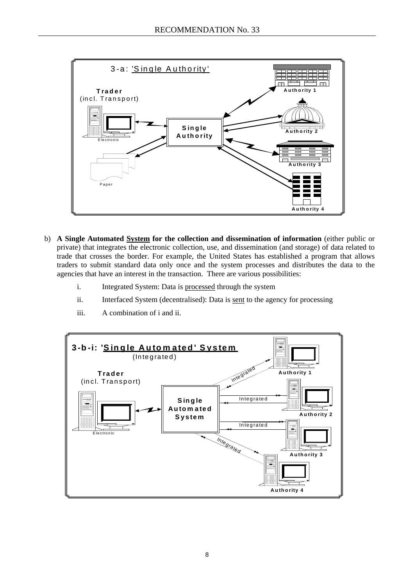

- b) **A Single Automated System for the collection and dissemination of information** (either public or private) that integrates the electronic collection, use, and dissemination (and storage) of data related to trade that crosses the border. For example, the United States has established a program that allows traders to submit standard data only once and the system processes and distributes the data to the agencies that have an interest in the transaction. There are various possibilities:
	- i. Integrated System: Data is processed through the system
	- ii. Interfaced System (decentralised): Data is sent to the agency for processing
	- iii. A combination of i and ii.

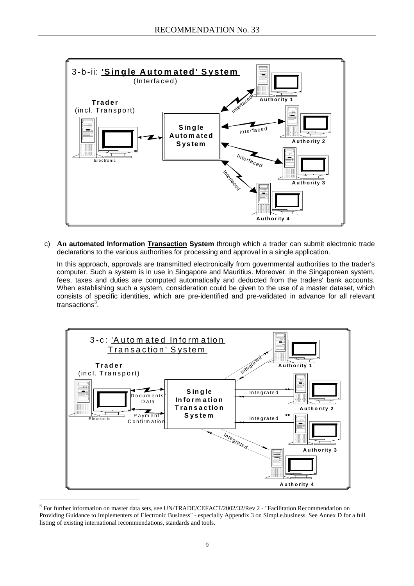

c) **An automated Information Transaction System** through which a trader can submit electronic trade declarations to the various authorities for processing and approval in a single application.

In this approach, approvals are transmitted electronically from governmental authorities to the trader's computer. Such a system is in use in Singapore and Mauritius. Moreover, in the Singaporean system, fees, taxes and duties are computed automatically and deducted from the traders' bank accounts. When establishing such a system, consideration could be given to the use of a master dataset, which consists of specific identities, which are pre-identified and pre-validated in advance for all relevant transactions<sup>[3](#page-12-0)</sup>.



<span id="page-12-0"></span><sup>&</sup>lt;sup>3</sup> For further information on master data sets, see UN/TRADE/CEFACT/2002/32/Rev 2 - "Facilitation Recommendation on Providing Guidance to Implementers of Electronic Business" - especially Appendix 3 on Simpl.e.business. See Annex D for a full listing of existing international recommendations, standards and tools.

 $\overline{a}$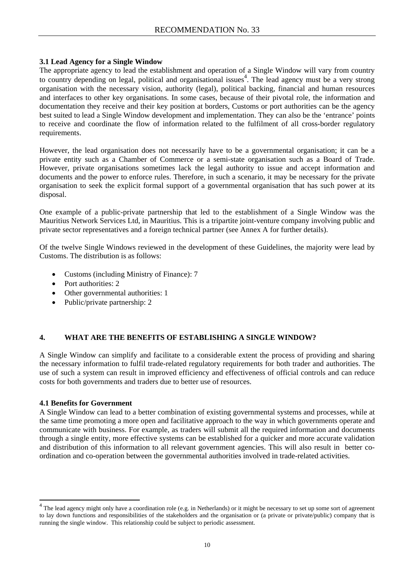#### **3.1 Lead Agency for a Single Window**

The appropriate agency to lead the establishment and operation of a Single Window will vary from country to country depending on legal, political and organisational issues<sup>4</sup>. The lead agency must be a very strong organisation with the necessary vision, authority (legal), politica[l](#page-13-0) backing, financial and human resources and interfaces to other key organisations. In some cases, because of their pivotal role, the information and documentation they receive and their key position at borders, Customs or port authorities can be the agency best suited to lead a Single Window development and implementation. They can also be the 'entrance' points to receive and coordinate the flow of information related to the fulfilment of all cross-border regulatory requirements.

However, the lead organisation does not necessarily have to be a governmental organisation; it can be a private entity such as a Chamber of Commerce or a semi-state organisation such as a Board of Trade. However, private organisations sometimes lack the legal authority to issue and accept information and documents and the power to enforce rules. Therefore, in such a scenario, it may be necessary for the private organisation to seek the explicit formal support of a governmental organisation that has such power at its disposal.

One example of a public-private partnership that led to the establishment of a Single Window was the Mauritius Network Services Ltd, in Mauritius. This is a tripartite joint-venture company involving public and private sector representatives and a foreign technical partner (see Annex A for further details).

Of the twelve Single Windows reviewed in the development of these Guidelines, the majority were lead by Customs. The distribution is as follows:

- Customs (including Ministry of Finance): 7
- Port authorities: 2
- Other governmental authorities: 1
- Public/private partnership: 2

#### **4. WHAT ARE THE BENEFITS OF ESTABLISHING A SINGLE WINDOW?**

A Single Window can simplify and facilitate to a considerable extent the process of providing and sharing the necessary information to fulfil trade-related regulatory requirements for both trader and authorities. The use of such a system can result in improved efficiency and effectiveness of official controls and can reduce costs for both governments and traders due to better use of resources.

#### **4.1 Benefits for Government**

 $\overline{a}$ 

A Single Window can lead to a better combination of existing governmental systems and processes, while at the same time promoting a more open and facilitative approach to the way in which governments operate and communicate with business. For example, as traders will submit all the required information and documents through a single entity, more effective systems can be established for a quicker and more accurate validation and distribution of this information to all relevant government agencies. This will also result in better coordination and co-operation between the governmental authorities involved in trade-related activities.

<span id="page-13-0"></span><sup>&</sup>lt;sup>4</sup> The lead agency might only have a coordination role (e.g. in Netherlands) or it might be necessary to set up some sort of agreement to lay down functions and responsibilities of the stakeholders and the organisation or (a private or private/public) company that is running the single window. This relationship could be subject to periodic assessment.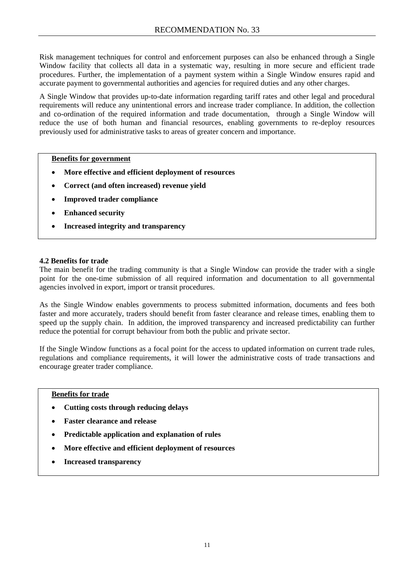Risk management techniques for control and enforcement purposes can also be enhanced through a Single Window facility that collects all data in a systematic way, resulting in more secure and efficient trade procedures. Further, the implementation of a payment system within a Single Window ensures rapid and accurate payment to governmental authorities and agencies for required duties and any other charges.

A Single Window that provides up-to-date information regarding tariff rates and other legal and procedural requirements will reduce any unintentional errors and increase trader compliance. In addition, the collection and co-ordination of the required information and trade documentation, through a Single Window will reduce the use of both human and financial resources, enabling governments to re-deploy resources previously used for administrative tasks to areas of greater concern and importance.

#### **Benefits for government**

- **More effective and efficient deployment of resources**
- **Correct (and often increased) revenue yield**
- **Improved trader compliance**
- **Enhanced security**
- **Increased integrity and transparency**

#### **4.2 Benefits for trade**

The main benefit for the trading community is that a Single Window can provide the trader with a single point for the one-time submission of all required information and documentation to all governmental agencies involved in export, import or transit procedures.

As the Single Window enables governments to process submitted information, documents and fees both faster and more accurately, traders should benefit from faster clearance and release times, enabling them to speed up the supply chain. In addition, the improved transparency and increased predictability can further reduce the potential for corrupt behaviour from both the public and private sector.

If the Single Window functions as a focal point for the access to updated information on current trade rules, regulations and compliance requirements, it will lower the administrative costs of trade transactions and encourage greater trader compliance.

#### **Benefits for trade**

- **Cutting costs through reducing delays**
- **Faster clearance and release**
- **Predictable application and explanation of rules**
- **More effective and efficient deployment of resources**
- **Increased transparency**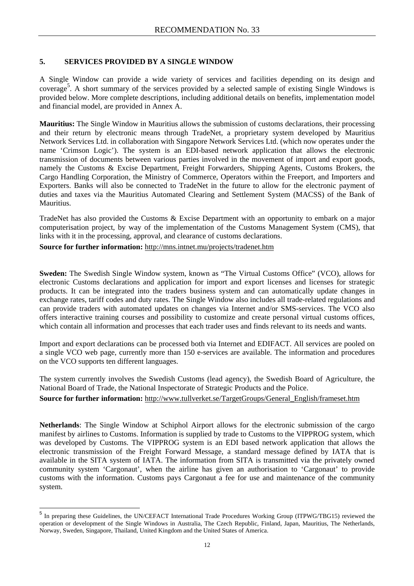#### **5. SERVICES PROVIDED BY A SINGLE WINDOW**

A Single Window can provide a wide variety of services and facilities depending on its design and coverage [5](#page-15-0) . A short summary of the services provided by a selected sample of existing Single Windows is provided below. More complete descriptions, including additional details on benefits, implementation model and financial model, are provided in Annex A.

**Mauritius:** The Single Window in Mauritius allows the submission of customs declarations, their processing and their return by electronic means through TradeNet, a proprietary system developed by Mauritius Network Services Ltd. in collaboration with Singapore Network Services Ltd. (which now operates under the name 'Crimson Logic'). The system is an EDI-based network application that allows the electronic transmission of documents between various parties involved in the movement of import and export goods, namely the Customs & Excise Department, Freight Forwarders, Shipping Agents, Customs Brokers, the Cargo Handling Corporation, the Ministry of Commerce, Operators within the Freeport, and Importers and Exporters. Banks will also be connected to TradeNet in the future to allow for the electronic payment of duties and taxes via the Mauritius Automated Clearing and Settlement System (MACSS) of the Bank of Mauritius.

TradeNet has also provided the Customs & Excise Department with an opportunity to embark on a major computerisation project, by way of the implementation of the Customs Management System (CMS), that links with it in the processing, approval, and clearance of customs declarations.

#### **Source for further information:** <http://mns.intnet.mu/projects/tradenet.htm>

 $\overline{a}$ 

**Sweden:** The Swedish Single Window system, known as "The Virtual Customs Office" (VCO), allows for electronic Customs declarations and application for import and export licenses and licenses for strategic products. It can be integrated into the traders business system and can automatically update changes in exchange rates, tariff codes and duty rates. The Single Window also includes all trade-related regulations and can provide traders with automated updates on changes via Internet and/or SMS-services. The VCO also offers interactive training courses and possibility to customize and create personal virtual customs offices, which contain all information and processes that each trader uses and finds relevant to its needs and wants.

Import and export declarations can be processed both via Internet and EDIFACT. All services are pooled on a single VCO web page, currently more than 150 e-services are available. The information and procedures on the VCO supports ten different languages.

The system currently involves the Swedish Customs (lead agency), the Swedish Board of Agriculture, the National Board of Trade, the National Inspectorate of Strategic Products and the Police.

#### **Source for further information:** http://www.tullverket.se/TargetGroups/General\_English/frameset.htm

**Netherlands**: The Single Window at Schiphol Airport allows for the electronic submission of the cargo manifest by airlines to Customs. Information is supplied by trade to Customs to the VIPPROG system, which was developed by Customs. The VIPPROG system is an EDI based network application that allows the electronic transmission of the Freight Forward Message, a standard message defined by IATA that is available in the SITA system of IATA. The information from SITA is transmitted via the privately owned community system 'Cargonaut', when the airline has given an authorisation to 'Cargonaut' to provide customs with the information. Customs pays Cargonaut a fee for use and maintenance of the community system.

<span id="page-15-0"></span><sup>&</sup>lt;sup>5</sup> In preparing these Guidelines, the UN/CEFACT International Trade Procedures Working Group (ITPWG/TBG15) reviewed the operation or development of the Single Windows in Australia, The Czech Republic, Finland, Japan, Mauritius, The Netherlands, Norway, Sweden, Singapore, Thailand, United Kingdom and the United States of America.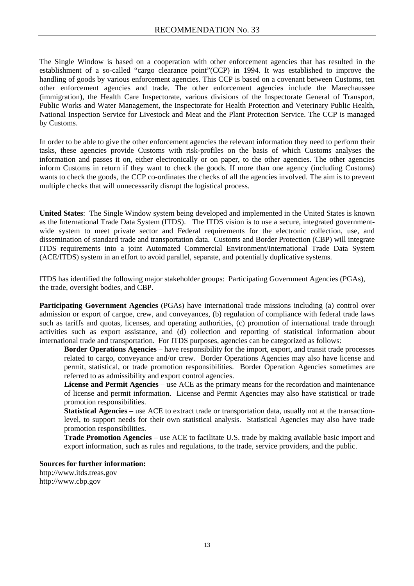The Single Window is based on a cooperation with other enforcement agencies that has resulted in the establishment of a so-called "cargo clearance point"(CCP) in 1994. It was established to improve the handling of goods by various enforcement agencies. This CCP is based on a covenant between Customs, ten other enforcement agencies and trade. The other enforcement agencies include the Marechaussee (immigration), the Health Care Inspectorate, various divisions of the Inspectorate General of Transport, Public Works and Water Management, the Inspectorate for Health Protection and Veterinary Public Health, National Inspection Service for Livestock and Meat and the Plant Protection Service. The CCP is managed by Customs.

In order to be able to give the other enforcement agencies the relevant information they need to perform their tasks, these agencies provide Customs with risk-profiles on the basis of which Customs analyses the information and passes it on, either electronically or on paper, to the other agencies. The other agencies inform Customs in return if they want to check the goods. If more than one agency (including Customs) wants to check the goods, the CCP co-ordinates the checks of all the agencies involved. The aim is to prevent multiple checks that will unnecessarily disrupt the logistical process.

**United States**: The Single Window system being developed and implemented in the United States is known as the International Trade Data System (ITDS). The ITDS vision is to use a secure, integrated governmentwide system to meet private sector and Federal requirements for the electronic collection, use, and dissemination of standard trade and transportation data. Customs and Border Protection (CBP) will integrate ITDS requirements into a joint Automated Commercial Environment/International Trade Data System (ACE/ITDS) system in an effort to avoid parallel, separate, and potentially duplicative systems.

ITDS has identified the following major stakeholder groups: Participating Government Agencies (PGAs), the trade, oversight bodies, and CBP.

**Participating Government Agencies** (PGAs) have international trade missions including (a) control over admission or export of cargoe, crew, and conveyances, (b) regulation of compliance with federal trade laws such as tariffs and quotas, licenses, and operating authorities, (c) promotion of international trade through activities such as export assistance, and (d) collection and reporting of statistical information about international trade and transportation. For ITDS purposes, agencies can be categorized as follows:

**Border Operations Agencies** – have responsibility for the import, export, and transit trade processes related to cargo, conveyance and/or crew. Border Operations Agencies may also have license and permit, statistical, or trade promotion responsibilities. Border Operation Agencies sometimes are referred to as admissibility and export control agencies.

License and Permit Agencies – use ACE as the primary means for the recordation and maintenance of license and permit information. License and Permit Agencies may also have statistical or trade promotion responsibilities.

**Statistical Agencies** – use ACE to extract trade or transportation data, usually not at the transactionlevel, to support needs for their own statistical analysis. Statistical Agencies may also have trade promotion responsibilities.

**Trade Promotion Agencies** – use ACE to facilitate U.S. trade by making available basic import and export information, such as rules and regulations, to the trade, service providers, and the public.

**Sources for further information:**  http://www.itds.treas.gov

http://www.cbp.gov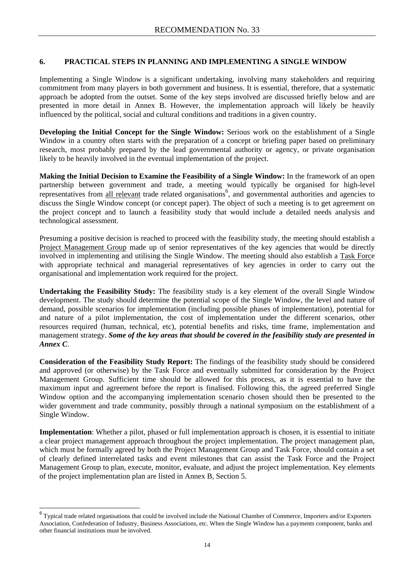#### **6. PRACTICAL STEPS IN PLANNING AND IMPLEMENTING A SINGLE WINDOW**

Implementing a Single Window is a significant undertaking, involving many stakeholders and requiring commitment from many players in both government and business. It is essential, therefore, that a systematic approach be adopted from the outset. Some of the key steps involved are discussed briefly below and are presented in more detail in Annex B. However, the implementation approach will likely be heavily influenced by the political, social and cultural conditions and traditions in a given country.

**Developing the Initial Concept for the Single Window:** Serious work on the establishment of a Single Window in a country often starts with the preparation of a concept or briefing paper based on preliminary research, most probably prepared by the lead governmental authority or agency, or private organisation likely to be heavily involved in the eventual implementation of the project.

**Making the Initial Decision to Examine the Feasibility of a Single Window:** In the framework of an open partnership between government and trade, a meeting would typically be organised for high-level representatives from all relevant trade related organisations<sup>6</sup>, and governmental authorities and agencies to discuss the Single Window concept (or concept paper). The object of such a meeting is to get agreement on the project concept and to launch a feasibility study that would include a detailed needs analysis and technological assessment.

Presuming a positive decision is reached to proceed with the feasibility study, the meeting should establish a Project Management Group made up of senior representatives of the key agencies that would be directly involved in implementing and utilising the Single Window. The meeting should also establish a Task Force with appropriate technical and managerial representatives of key agencies in order to carry out the organisational and implementation work required for the project.

**Undertaking the Feasibility Study:** The feasibility study is a key element of the overall Single Window development. The study should determine the potential scope of the Single Window, the level and nature of demand, possible scenarios for implementation (including possible phases of implementation), potential for and nature of a pilot implementation, the cost of implementation under the different scenarios, other resources required (human, technical, etc), potential benefits and risks, time frame, implementation and management strategy. *Some of the key areas that should be covered in the feasibility study are presented in Annex C*.

**Consideration of the Feasibility Study Report:** The findings of the feasibility study should be considered and approved (or otherwise) by the Task Force and eventually submitted for consideration by the Project Management Group. Sufficient time should be allowed for this process, as it is essential to have the maximum input and agreement before the report is finalised. Following this, the agreed preferred Single Window option and the accompanying implementation scenario chosen should then be presented to the wider government and trade community, possibly through a national symposium on the establishment of a Single Window.

**Implementation**: Whether a pilot, phased or full implementation approach is chosen, it is essential to initiate a clear project management approach throughout the project implementation. The project management plan, which must be formally agreed by both the Project Management Group and Task Force, should contain a set of clearly defined interrelated tasks and event milestones that can assist the Task Force and the Project Management Group to plan, execute, monitor, evaluate, and adjust the project implementation. Key elements of the project implementation plan are listed in Annex B, Section 5.

 $\overline{a}$ 

<span id="page-17-0"></span> $^6$  Typical trade related organisations that could be involved include the National Chamber of Commerce, Importers and/or Exporters Association, Confederation of Industry, Business Associations, etc. When the Single Window has a payments component, banks and other financial institutions must be involved.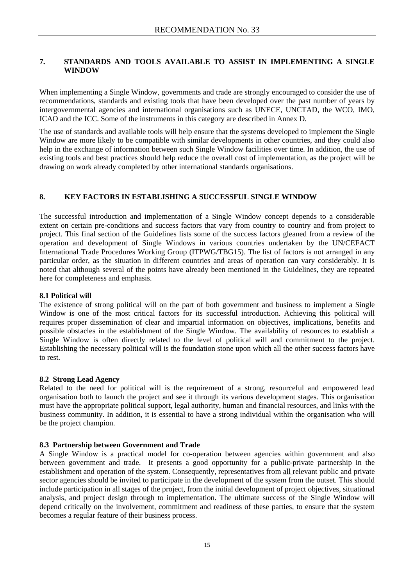#### **7. STANDARDS AND TOOLS AVAILABLE TO ASSIST IN IMPLEMENTING A SINGLE WINDOW**

When implementing a Single Window, governments and trade are strongly encouraged to consider the use of recommendations, standards and existing tools that have been developed over the past number of years by intergovernmental agencies and international organisations such as UNECE, UNCTAD, the WCO, IMO, ICAO and the ICC. Some of the instruments in this category are described in Annex D.

The use of standards and available tools will help ensure that the systems developed to implement the Single Window are more likely to be compatible with similar developments in other countries, and they could also help in the exchange of information between such Single Window facilities over time. In addition, the use of existing tools and best practices should help reduce the overall cost of implementation, as the project will be drawing on work already completed by other international standards organisations.

#### **8. KEY FACTORS IN ESTABLISHING A SUCCESSFUL SINGLE WINDOW**

The successful introduction and implementation of a Single Window concept depends to a considerable extent on certain pre-conditions and success factors that vary from country to country and from project to project. This final section of the Guidelines lists some of the success factors gleaned from a review of the operation and development of Single Windows in various countries undertaken by the UN/CEFACT International Trade Procedures Working Group (ITPWG/TBG15). The list of factors is not arranged in any particular order, as the situation in different countries and areas of operation can vary considerably. It is noted that although several of the points have already been mentioned in the Guidelines, they are repeated here for completeness and emphasis.

#### **8.1 Political will**

The existence of strong political will on the part of <u>both</u> government and business to implement a Single Window is one of the most critical factors for its successful introduction. Achieving this political will requires proper dissemination of clear and impartial information on objectives, implications, benefits and possible obstacles in the establishment of the Single Window. The availability of resources to establish a Single Window is often directly related to the level of political will and commitment to the project. Establishing the necessary political will is the foundation stone upon which all the other success factors have to rest.

#### **8.2 Strong Lead Agency**

Related to the need for political will is the requirement of a strong, resourceful and empowered lead organisation both to launch the project and see it through its various development stages. This organisation must have the appropriate political support, legal authority, human and financial resources, and links with the business community. In addition, it is essential to have a strong individual within the organisation who will be the project champion.

#### **8.3 Partnership between Government and Trade**

A Single Window is a practical model for co-operation between agencies within government and also between government and trade. It presents a good opportunity for a public-private partnership in the establishment and operation of the system. Consequently, representatives from all relevant public and private sector agencies should be invited to participate in the development of the system from the outset. This should include participation in all stages of the project, from the initial development of project objectives, situational analysis, and project design through to implementation. The ultimate success of the Single Window will depend critically on the involvement, commitment and readiness of these parties, to ensure that the system becomes a regular feature of their business process.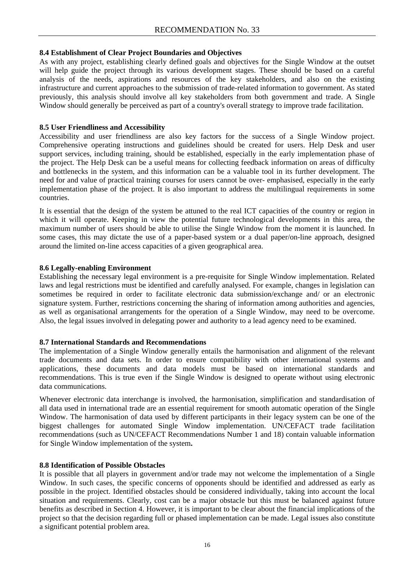#### **8.4 Establishment of Clear Project Boundaries and Objectives**

As with any project, establishing clearly defined goals and objectives for the Single Window at the outset will help guide the project through its various development stages. These should be based on a careful analysis of the needs, aspirations and resources of the key stakeholders, and also on the existing infrastructure and current approaches to the submission of trade-related information to government. As stated previously, this analysis should involve all key stakeholders from both government and trade. A Single Window should generally be perceived as part of a country's overall strategy to improve trade facilitation.

#### **8.5 User Friendliness and Accessibility**

Accessibility and user friendliness are also key factors for the success of a Single Window project. Comprehensive operating instructions and guidelines should be created for users. Help Desk and user support services, including training, should be established, especially in the early implementation phase of the project. The Help Desk can be a useful means for collecting feedback information on areas of difficulty and bottlenecks in the system, and this information can be a valuable tool in its further development. The need for and value of practical training courses for users cannot be over- emphasised, especially in the early implementation phase of the project. It is also important to address the multilingual requirements in some countries.

It is essential that the design of the system be attuned to the real ICT capacities of the country or region in which it will operate. Keeping in view the potential future technological developments in this area, the maximum number of users should be able to utilise the Single Window from the moment it is launched. In some cases, this may dictate the use of a paper-based system or a dual paper/on-line approach, designed around the limited on-line access capacities of a given geographical area.

#### **8.6 Legally-enabling Environment**

Establishing the necessary legal environment is a pre-requisite for Single Window implementation. Related laws and legal restrictions must be identified and carefully analysed. For example, changes in legislation can sometimes be required in order to facilitate electronic data submission/exchange and/ or an electronic signature system. Further, restrictions concerning the sharing of information among authorities and agencies, as well as organisational arrangements for the operation of a Single Window, may need to be overcome. Also, the legal issues involved in delegating power and authority to a lead agency need to be examined.

#### **8.7 International Standards and Recommendations**

The implementation of a Single Window generally entails the harmonisation and alignment of the relevant trade documents and data sets. In order to ensure compatibility with other international systems and applications, these documents and data models must be based on international standards and recommendations. This is true even if the Single Window is designed to operate without using electronic data communications.

Whenever electronic data interchange is involved, the harmonisation, simplification and standardisation of all data used in international trade are an essential requirement for smooth automatic operation of the Single Window. The harmonisation of data used by different participants in their legacy system can be one of the biggest challenges for automated Single Window implementation. UN/CEFACT trade facilitation recommendations (such as UN/CEFACT Recommendations Number 1 and 18) contain valuable information for Single Window implementation of the system**.** 

#### **8.8 Identification of Possible Obstacles**

It is possible that all players in government and/or trade may not welcome the implementation of a Single Window. In such cases, the specific concerns of opponents should be identified and addressed as early as possible in the project. Identified obstacles should be considered individually, taking into account the local situation and requirements. Clearly, cost can be a major obstacle but this must be balanced against future benefits as described in Section 4. However, it is important to be clear about the financial implications of the project so that the decision regarding full or phased implementation can be made. Legal issues also constitute a significant potential problem area.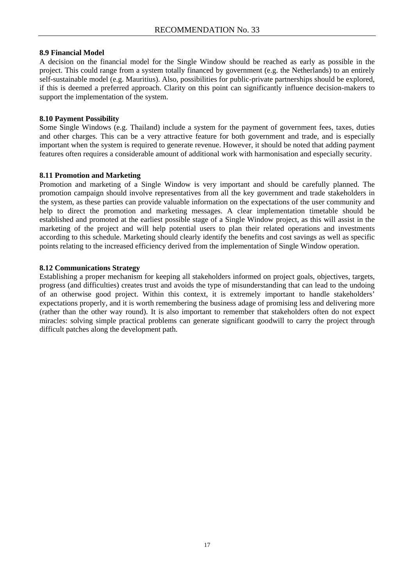#### **8.9 Financial Model**

A decision on the financial model for the Single Window should be reached as early as possible in the project. This could range from a system totally financed by government (e.g. the Netherlands) to an entirely self-sustainable model (e.g. Mauritius). Also, possibilities for public-private partnerships should be explored, if this is deemed a preferred approach. Clarity on this point can significantly influence decision-makers to support the implementation of the system.

#### **8.10 Payment Possibility**

Some Single Windows (e.g. Thailand) include a system for the payment of government fees, taxes, duties and other charges. This can be a very attractive feature for both government and trade, and is especially important when the system is required to generate revenue. However, it should be noted that adding payment features often requires a considerable amount of additional work with harmonisation and especially security.

#### **8.11 Promotion and Marketing**

Promotion and marketing of a Single Window is very important and should be carefully planned. The promotion campaign should involve representatives from all the key government and trade stakeholders in the system, as these parties can provide valuable information on the expectations of the user community and help to direct the promotion and marketing messages. A clear implementation timetable should be established and promoted at the earliest possible stage of a Single Window project, as this will assist in the marketing of the project and will help potential users to plan their related operations and investments according to this schedule. Marketing should clearly identify the benefits and cost savings as well as specific points relating to the increased efficiency derived from the implementation of Single Window operation.

#### **8.12 Communications Strategy**

Establishing a proper mechanism for keeping all stakeholders informed on project goals, objectives, targets, progress (and difficulties) creates trust and avoids the type of misunderstanding that can lead to the undoing of an otherwise good project. Within this context, it is extremely important to handle stakeholders' expectations properly, and it is worth remembering the business adage of promising less and delivering more (rather than the other way round). It is also important to remember that stakeholders often do not expect miracles: solving simple practical problems can generate significant goodwill to carry the project through difficult patches along the development path.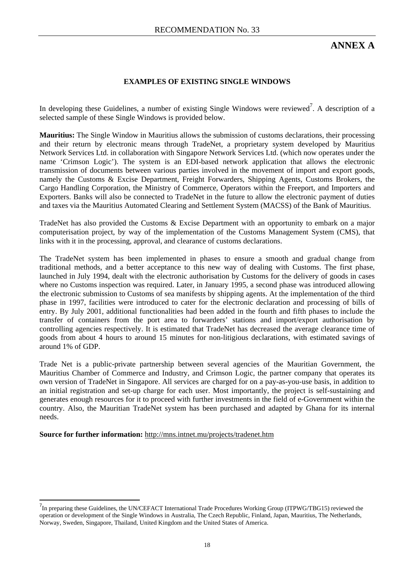# **ANNEX A**

#### **EXAMPLES OF EXISTING SINGLE WINDOWS**

In developing these Guidelines, a number of existing Single Windows were reviewed<sup>7</sup>[.](#page-21-0) A description of a selected sample of these Single Windows is provided below.

**Mauritius:** The Single Window in Mauritius allows the submission of customs declarations, their processing and their return by electronic means through TradeNet, a proprietary system developed by Mauritius Network Services Ltd. in collaboration with Singapore Network Services Ltd. (which now operates under the name 'Crimson Logic'). The system is an EDI-based network application that allows the electronic transmission of documents between various parties involved in the movement of import and export goods, namely the Customs & Excise Department, Freight Forwarders, Shipping Agents, Customs Brokers, the Cargo Handling Corporation, the Ministry of Commerce, Operators within the Freeport, and Importers and Exporters. Banks will also be connected to TradeNet in the future to allow the electronic payment of duties and taxes via the Mauritius Automated Clearing and Settlement System (MACSS) of the Bank of Mauritius.

TradeNet has also provided the Customs & Excise Department with an opportunity to embark on a major computerisation project, by way of the implementation of the Customs Management System (CMS), that links with it in the processing, approval, and clearance of customs declarations.

The TradeNet system has been implemented in phases to ensure a smooth and gradual change from traditional methods, and a better acceptance to this new way of dealing with Customs. The first phase, launched in July 1994, dealt with the electronic authorisation by Customs for the delivery of goods in cases where no Customs inspection was required. Later, in January 1995, a second phase was introduced allowing the electronic submission to Customs of sea manifests by shipping agents. At the implementation of the third phase in 1997, facilities were introduced to cater for the electronic declaration and processing of bills of entry. By July 2001, additional functionalities had been added in the fourth and fifth phases to include the transfer of containers from the port area to forwarders' stations and import/export authorisation by controlling agencies respectively. It is estimated that TradeNet has decreased the average clearance time of goods from about 4 hours to around 15 minutes for non-litigious declarations, with estimated savings of around 1% of GDP.

Trade Net is a public-private partnership between several agencies of the Mauritian Government, the Mauritius Chamber of Commerce and Industry, and Crimson Logic, the partner company that operates its own version of TradeNet in Singapore. All services are charged for on a pay-as-you-use basis, in addition to an initial registration and set-up charge for each user. Most importantly, the project is self-sustaining and generates enough resources for it to proceed with further investments in the field of e-Government within the country. Also, the Mauritian TradeNet system has been purchased and adapted by Ghana for its internal needs.

#### **Source for further information:** <http://mns.intnet.mu/projects/tradenet.htm>

 $\overline{a}$ 

<span id="page-21-0"></span><sup>&</sup>lt;sup>7</sup>In preparing these Guidelines, the UN/CEFACT International Trade Procedures Working Group (ITPWG/TBG15) reviewed the operation or development of the Single Windows in Australia, The Czech Republic, Finland, Japan, Mauritius, The Netherlands, Norway, Sweden, Singapore, Thailand, United Kingdom and the United States of America.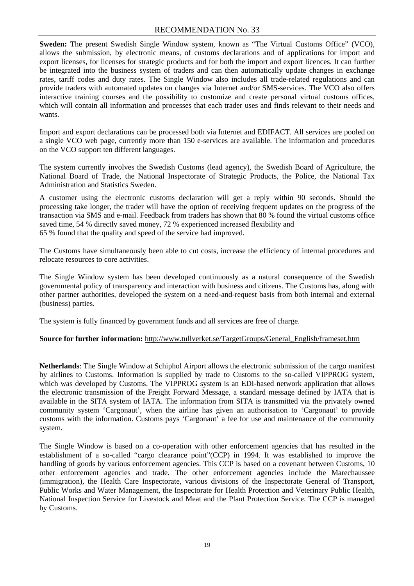#### RECOMMENDATION No. 33

**Sweden:** The present Swedish Single Window system, known as "The Virtual Customs Office" (VCO), allows the submission, by electronic means, of customs declarations and of applications for import and export licenses, for licenses for strategic products and for both the import and export licences. It can further be integrated into the business system of traders and can then automatically update changes in exchange rates, tariff codes and duty rates. The Single Window also includes all trade-related regulations and can provide traders with automated updates on changes via Internet and/or SMS-services. The VCO also offers interactive training courses and the possibility to customize and create personal virtual customs offices, which will contain all information and processes that each trader uses and finds relevant to their needs and wants.

Import and export declarations can be processed both via Internet and EDIFACT. All services are pooled on a single VCO web page, currently more than 150 e-services are available. The information and procedures on the VCO support ten different languages.

The system currently involves the Swedish Customs (lead agency), the Swedish Board of Agriculture, the National Board of Trade, the National Inspectorate of Strategic Products, the Police, the National Tax Administration and Statistics Sweden.

A customer using the electronic customs declaration will get a reply within 90 seconds. Should the processing take longer, the trader will have the option of receiving frequent updates on the progress of the transaction via SMS and e-mail. Feedback from traders has shown that 80 % found the virtual customs office saved time, 54 % directly saved money, 72 % experienced increased flexibility and 65 % found that the quality and speed of the service had improved.

The Customs have simultaneously been able to cut costs, increase the efficiency of internal procedures and relocate resources to core activities.

The Single Window system has been developed continuously as a natural consequence of the Swedish governmental policy of transparency and interaction with business and citizens. The Customs has, along with other partner authorities, developed the system on a need-and-request basis from both internal and external (business) parties.

The system is fully financed by government funds and all services are free of charge.

#### **Source for further information:** http://www.tullverket.se/TargetGroups/General\_English/frameset.htm

**Netherlands**: The Single Window at Schiphol Airport allows the electronic submission of the cargo manifest by airlines to Customs. Information is supplied by trade to Customs to the so-called VIPPROG system, which was developed by Customs. The VIPPROG system is an EDI-based network application that allows the electronic transmission of the Freight Forward Message, a standard message defined by IATA that is available in the SITA system of IATA. The information from SITA is transmitted via the privately owned community system 'Cargonaut', when the airline has given an authorisation to 'Cargonaut' to provide customs with the information. Customs pays 'Cargonaut' a fee for use and maintenance of the community system.

The Single Window is based on a co-operation with other enforcement agencies that has resulted in the establishment of a so-called "cargo clearance point"(CCP) in 1994. It was established to improve the handling of goods by various enforcement agencies. This CCP is based on a covenant between Customs, 10 other enforcement agencies and trade. The other enforcement agencies include the Marechaussee (immigration), the Health Care Inspectorate, various divisions of the Inspectorate General of Transport, Public Works and Water Management, the Inspectorate for Health Protection and Veterinary Public Health, National Inspection Service for Livestock and Meat and the Plant Protection Service. The CCP is managed by Customs.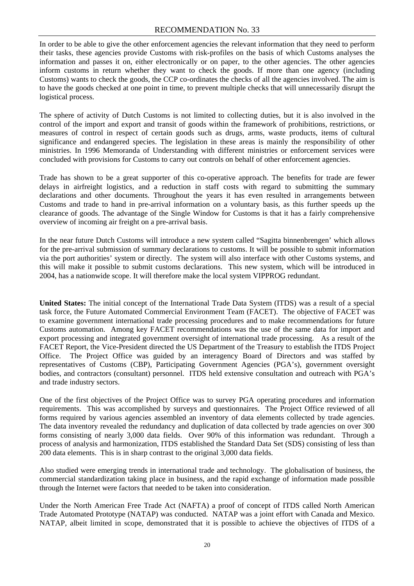#### RECOMMENDATION No. 33

In order to be able to give the other enforcement agencies the relevant information that they need to perform their tasks, these agencies provide Customs with risk-profiles on the basis of which Customs analyses the information and passes it on, either electronically or on paper, to the other agencies. The other agencies inform customs in return whether they want to check the goods. If more than one agency (including Customs) wants to check the goods, the CCP co-ordinates the checks of all the agencies involved. The aim is to have the goods checked at one point in time, to prevent multiple checks that will unnecessarily disrupt the logistical process.

The sphere of activity of Dutch Customs is not limited to collecting duties, but it is also involved in the control of the import and export and transit of goods within the framework of prohibitions, restrictions, or measures of control in respect of certain goods such as drugs, arms, waste products, items of cultural significance and endangered species. The legislation in these areas is mainly the responsibility of other ministries. In 1996 Memoranda of Understanding with different ministries or enforcement services were concluded with provisions for Customs to carry out controls on behalf of other enforcement agencies.

Trade has shown to be a great supporter of this co-operative approach. The benefits for trade are fewer delays in airfreight logistics, and a reduction in staff costs with regard to submitting the summary declarations and other documents. Throughout the years it has even resulted in arrangements between Customs and trade to hand in pre-arrival information on a voluntary basis, as this further speeds up the clearance of goods. The advantage of the Single Window for Customs is that it has a fairly comprehensive overview of incoming air freight on a pre-arrival basis.

In the near future Dutch Customs will introduce a new system called "Sagitta binnenbrengen' which allows for the pre-arrival submission of summary declarations to customs. It will be possible to submit information via the port authorities' system or directly. The system will also interface with other Customs systems, and this will make it possible to submit customs declarations. This new system, which will be introduced in 2004, has a nationwide scope. It will therefore make the local system VIPPROG redundant.

**United States:** The initial concept of the International Trade Data System (ITDS) was a result of a special task force, the Future Automated Commercial Environment Team (FACET). The objective of FACET was to examine government international trade processing procedures and to make recommendations for future Customs automation. Among key FACET recommendations was the use of the same data for import and export processing and integrated government oversight of international trade processing. As a result of the FACET Report, the Vice-President directed the US Department of the Treasury to establish the ITDS Project Office. The Project Office was guided by an interagency Board of Directors and was staffed by representatives of Customs (CBP), Participating Government Agencies (PGA's), government oversight bodies, and contractors (consultant) personnel. ITDS held extensive consultation and outreach with PGA's and trade industry sectors.

One of the first objectives of the Project Office was to survey PGA operating procedures and information requirements. This was accomplished by surveys and questionnaires. The Project Office reviewed of all forms required by various agencies assembled an inventory of data elements collected by trade agencies. The data inventory revealed the redundancy and duplication of data collected by trade agencies on over 300 forms consisting of nearly 3,000 data fields. Over 90% of this information was redundant. Through a process of analysis and harmonization, ITDS established the Standard Data Set (SDS) consisting of less than 200 data elements. This is in sharp contrast to the original 3,000 data fields.

Also studied were emerging trends in international trade and technology. The globalisation of business, the commercial standardization taking place in business, and the rapid exchange of information made possible through the Internet were factors that needed to be taken into consideration.

Under the North American Free Trade Act (NAFTA) a proof of concept of ITDS called North American Trade Automated Prototype (NATAP) was conducted. NATAP was a joint effort with Canada and Mexico. NATAP, albeit limited in scope, demonstrated that it is possible to achieve the objectives of ITDS of a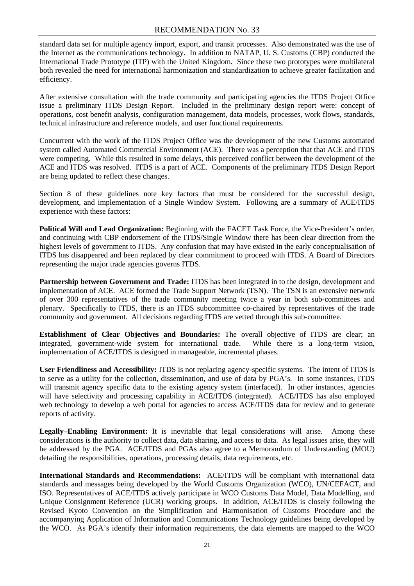#### RECOMMENDATION No. 33

standard data set for multiple agency import, export, and transit processes. Also demonstrated was the use of the Internet as the communications technology. In addition to NATAP, U. S. Customs (CBP) conducted the International Trade Prototype (ITP) with the United Kingdom. Since these two prototypes were multilateral both revealed the need for international harmonization and standardization to achieve greater facilitation and efficiency.

After extensive consultation with the trade community and participating agencies the ITDS Project Office issue a preliminary ITDS Design Report. Included in the preliminary design report were: concept of operations, cost benefit analysis, configuration management, data models, processes, work flows, standards, technical infrastructure and reference models, and user functional requirements.

Concurrent with the work of the ITDS Project Office was the development of the new Customs automated system called Automated Commercial Environment (ACE). There was a perception that that ACE and ITDS were competing. While this resulted in some delays, this perceived conflict between the development of the ACE and ITDS was resolved. ITDS is a part of ACE. Components of the preliminary ITDS Design Report are being updated to reflect these changes.

Section 8 of these guidelines note key factors that must be considered for the successful design, development, and implementation of a Single Window System. Following are a summary of ACE/ITDS experience with these factors:

**Political Will and Lead Organization:** Beginning with the FACET Task Force, the Vice-President's order, and continuing with CBP endorsement of the ITDS/Single Window there has been clear direction from the highest levels of government to ITDS. Any confusion that may have existed in the early conceptualisation of ITDS has disappeared and been replaced by clear commitment to proceed with ITDS. A Board of Directors representing the major trade agencies governs ITDS.

**Partnership between Government and Trade:** ITDS has been integrated in to the design, development and implementation of ACE. ACE formed the Trade Support Network (TSN). The TSN is an extensive network of over 300 representatives of the trade community meeting twice a year in both sub-committees and plenary. Specifically to ITDS, there is an ITDS subcommittee co-chaired by representatives of the trade community and government. All decisions regarding ITDS are vetted through this sub-committee.

**Establishment of Clear Objectives and Boundaries:** The overall objective of ITDS are clear; an integrated, government-wide system for international trade. While there is a long-term vision, implementation of ACE/ITDS is designed in manageable, incremental phases.

**User Friendliness and Accessibility:** ITDS is not replacing agency-specific systems. The intent of ITDS is to serve as a utility for the collection, dissemination, and use of data by PGA's. In some instances, ITDS will transmit agency specific data to the existing agency system (interfaced). In other instances, agencies will have selectivity and processing capability in ACE/ITDS (integrated). ACE/ITDS has also employed web technology to develop a web portal for agencies to access ACE/ITDS data for review and to generate reports of activity.

**Legally–Enabling Environment:** It is inevitable that legal considerations will arise. Among these considerations is the authority to collect data, data sharing, and access to data. As legal issues arise, they will be addressed by the PGA. ACE/ITDS and PGAs also agree to a Memorandum of Understanding (MOU) detailing the responsibilities, operations, processing details, data requirements, etc.

**International Standards and Recommendations:** ACE/ITDS will be compliant with international data standards and messages being developed by the World Customs Organization (WCO), UN/CEFACT, and ISO. Representatives of ACE/ITDS actively participate in WCO Customs Data Model, Data Modelling, and Unique Consignment Reference (UCR) working groups. In addition, ACE/ITDS is closely following the Revised Kyoto Convention on the Simplification and Harmonisation of Customs Procedure and the accompanying Application of Information and Communications Technology guidelines being developed by the WCO. As PGA's identify their information requirements, the data elements are mapped to the WCO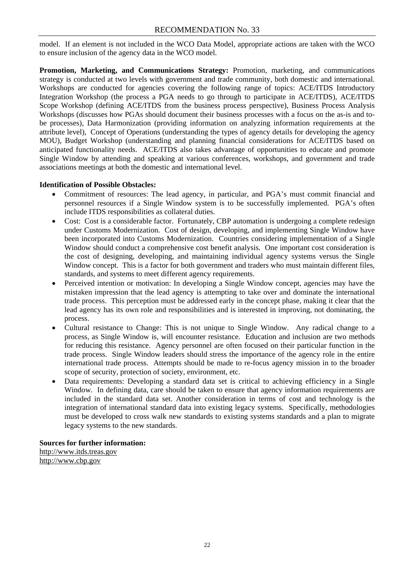model. If an element is not included in the WCO Data Model, appropriate actions are taken with the WCO to ensure inclusion of the agency data in the WCO model.

**Promotion, Marketing, and Communications Strategy:** Promotion, marketing, and communications strategy is conducted at two levels with government and trade community, both domestic and international. Workshops are conducted for agencies covering the following range of topics: ACE/ITDS Introductory Integration Workshop (the process a PGA needs to go through to participate in ACE/ITDS), ACE/ITDS Scope Workshop (defining ACE/ITDS from the business process perspective), Business Process Analysis Workshops (discusses how PGAs should document their business processes with a focus on the as-is and tobe processes), Data Harmonization (providing information on analyzing information requirements at the attribute level), Concept of Operations (understanding the types of agency details for developing the agency MOU), Budget Workshop (understanding and planning financial considerations for ACE/ITDS based on anticipated functionality needs. ACE/ITDS also takes advantage of opportunities to educate and promote Single Window by attending and speaking at various conferences, workshops, and government and trade associations meetings at both the domestic and international level.

#### **Identification of Possible Obstacles:**

- Commitment of resources: The lead agency, in particular, and PGA's must commit financial and personnel resources if a Single Window system is to be successfully implemented. PGA's often include ITDS responsibilities as collateral duties.
- Cost: Cost is a considerable factor. Fortunately, CBP automation is undergoing a complete redesign under Customs Modernization. Cost of design, developing, and implementing Single Window have been incorporated into Customs Modernization. Countries considering implementation of a Single Window should conduct a comprehensive cost benefit analysis. One important cost consideration is the cost of designing, developing, and maintaining individual agency systems versus the Single Window concept. This is a factor for both government and traders who must maintain different files, standards, and systems to meet different agency requirements.
- Perceived intention or motivation: In developing a Single Window concept, agencies may have the mistaken impression that the lead agency is attempting to take over and dominate the international trade process. This perception must be addressed early in the concept phase, making it clear that the lead agency has its own role and responsibilities and is interested in improving, not dominating, the process.
- Cultural resistance to Change: This is not unique to Single Window. Any radical change to a process, as Single Window is, will encounter resistance. Education and inclusion are two methods for reducing this resistance. Agency personnel are often focused on their particular function in the trade process. Single Window leaders should stress the importance of the agency role in the entire international trade process. Attempts should be made to re-focus agency mission in to the broader scope of security, protection of society, environment, etc.
- Data requirements: Developing a standard data set is critical to achieving efficiency in a Single Window. In defining data, care should be taken to ensure that agency information requirements are included in the standard data set. Another consideration in terms of cost and technology is the integration of international standard data into existing legacy systems. Specifically, methodologies must be developed to cross walk new standards to existing systems standards and a plan to migrate legacy systems to the new standards.

#### **Sources for further information:**  [http://www.itds.treas.gov](http://www.iteds.treas.gov/) http://www.cbp.gov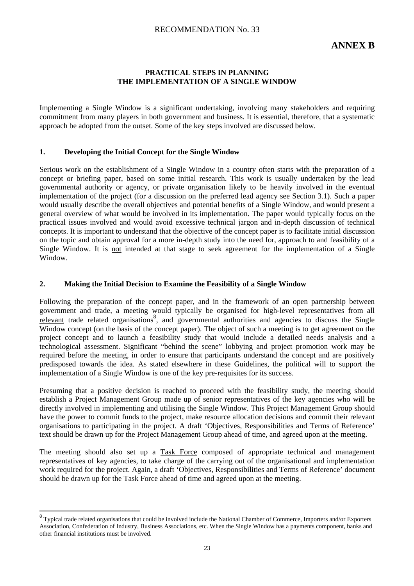**ANNEX B** 

#### **PRACTICAL STEPS IN PLANNING THE IMPLEMENTATION OF A SINGLE WINDOW**

Implementing a Single Window is a significant undertaking, involving many stakeholders and requiring commitment from many players in both government and business. It is essential, therefore, that a systematic approach be adopted from the outset. Some of the key steps involved are discussed below.

#### **1. Developing the Initial Concept for the Single Window**

Serious work on the establishment of a Single Window in a country often starts with the preparation of a concept or briefing paper, based on some initial research. This work is usually undertaken by the lead governmental authority or agency, or private organisation likely to be heavily involved in the eventual implementation of the project (for a discussion on the preferred lead agency see Section 3.1). Such a paper would usually describe the overall objectives and potential benefits of a Single Window, and would present a general overview of what would be involved in its implementation. The paper would typically focus on the practical issues involved and would avoid excessive technical jargon and in-depth discussion of technical concepts. It is important to understand that the objective of the concept paper is to facilitate initial discussion on the topic and obtain approval for a more in-depth study into the need for, approach to and feasibility of a Single Window. It is not intended at that stage to seek agreement for the implementation of a Single Window.

#### **2. Making the Initial Decision to Examine the Feasibility of a Single Window**

Following the preparation of the concept paper, and in the framework of an open partnership between government and trade, a meeting would typically be organised for high-level representatives from all relevant trade related organisations<sup>[8](#page-26-0)</sup>, and governmental authorities and agencies to discuss the Single Window concept (on the basis of the concept paper). The object of such a meeting is to get agreement on the project concept and to launch a feasibility study that would include a detailed needs analysis and a technological assessment. Significant "behind the scene" lobbying and project promotion work may be required before the meeting, in order to ensure that participants understand the concept and are positively predisposed towards the idea. As stated elsewhere in these Guidelines, the political will to support the implementation of a Single Window is one of the key pre-requisites for its success.

Presuming that a positive decision is reached to proceed with the feasibility study, the meeting should establish a Project Management Group made up of senior representatives of the key agencies who will be directly involved in implementing and utilising the Single Window. This Project Management Group should have the power to commit funds to the project, make resource allocation decisions and commit their relevant organisations to participating in the project. A draft 'Objectives, Responsibilities and Terms of Reference' text should be drawn up for the Project Management Group ahead of time, and agreed upon at the meeting.

The meeting should also set up a Task Force composed of appropriate technical and management representatives of key agencies, to take charge of the carrying out of the organisational and implementation work required for the project. Again, a draft 'Objectives, Responsibilities and Terms of Reference' document should be drawn up for the Task Force ahead of time and agreed upon at the meeting.

<span id="page-26-0"></span><sup>&</sup>lt;sup>8</sup> Typical trade related organisations that could be involved include the National Chamber of Commerce, Importers and/or Exporters Association, Confederation of Industry, Business Associations, etc. When the Single Window has a payments component, banks and other financial institutions must be involved.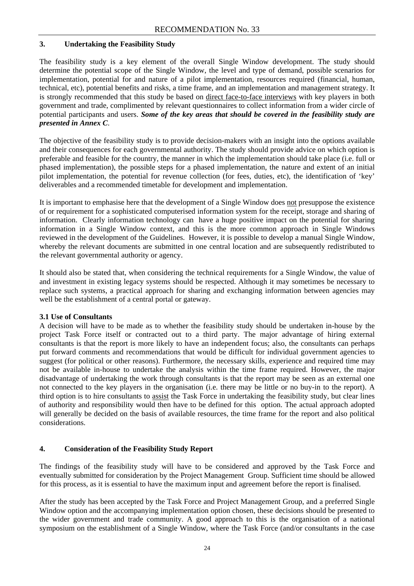#### **3. Undertaking the Feasibility Study**

The feasibility study is a key element of the overall Single Window development. The study should determine the potential scope of the Single Window, the level and type of demand, possible scenarios for implementation, potential for and nature of a pilot implementation, resources required (financial, human, technical, etc), potential benefits and risks, a time frame, and an implementation and management strategy. It is strongly recommended that this study be based on direct face-to-face interviews with key players in both government and trade, complimented by relevant questionnaires to collect information from a wider circle of potential participants and users. *Some of the key areas that should be covered in the feasibility study are presented in Annex C*.

The objective of the feasibility study is to provide decision-makers with an insight into the options available and their consequences for each governmental authority. The study should provide advice on which option is preferable and feasible for the country, the manner in which the implementation should take place (i.e. full or phased implementation), the possible steps for a phased implementation, the nature and extent of an initial pilot implementation, the potential for revenue collection (for fees, duties, etc), the identification of 'key' deliverables and a recommended timetable for development and implementation.

It is important to emphasise here that the development of a Single Window does not presuppose the existence of or requirement for a sophisticated computerised information system for the receipt, storage and sharing of information. Clearly information technology can have a huge positive impact on the potential for sharing information in a Single Window context, and this is the more common approach in Single Windows reviewed in the development of the Guidelines. However, it is possible to develop a manual Single Window, whereby the relevant documents are submitted in one central location and are subsequently redistributed to the relevant governmental authority or agency.

It should also be stated that, when considering the technical requirements for a Single Window, the value of and investment in existing legacy systems should be respected. Although it may sometimes be necessary to replace such systems, a practical approach for sharing and exchanging information between agencies may well be the establishment of a central portal or gateway.

#### **3.1 Use of Consultants**

A decision will have to be made as to whether the feasibility study should be undertaken in-house by the project Task Force itself or contracted out to a third party. The major advantage of hiring external consultants is that the report is more likely to have an independent focus; also, the consultants can perhaps put forward comments and recommendations that would be difficult for individual government agencies to suggest (for political or other reasons). Furthermore, the necessary skills, experience and required time may not be available in-house to undertake the analysis within the time frame required. However, the major disadvantage of undertaking the work through consultants is that the report may be seen as an external one not connected to the key players in the organisation (i.e. there may be little or no buy-in to the report). A third option is to hire consultants to assist the Task Force in undertaking the feasibility study, but clear lines of authority and responsibility would then have to be defined for this option. The actual approach adopted will generally be decided on the basis of available resources, the time frame for the report and also political considerations.

#### **4. Consideration of the Feasibility Study Report**

The findings of the feasibility study will have to be considered and approved by the Task Force and eventually submitted for consideration by the Project Management Group. Sufficient time should be allowed for this process, as it is essential to have the maximum input and agreement before the report is finalised.

After the study has been accepted by the Task Force and Project Management Group, and a preferred Single Window option and the accompanying implementation option chosen, these decisions should be presented to the wider government and trade community. A good approach to this is the organisation of a national symposium on the establishment of a Single Window, where the Task Force (and/or consultants in the case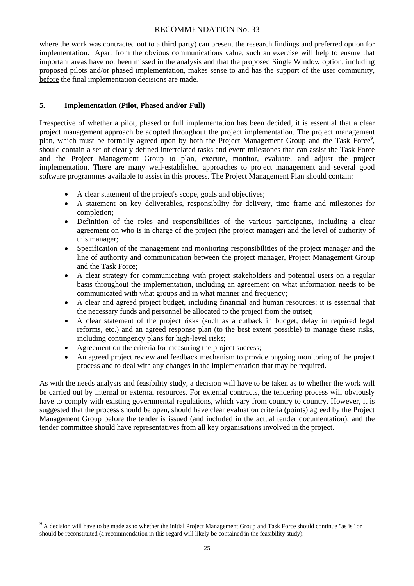where the work was contracted out to a third party) can present the research findings and preferred option for implementation. Apart from the obvious communications value, such an exercise will help to ensure that important areas have not been missed in the analysis and that the proposed Single Window option, including proposed pilots and/or phased implementation, makes sense to and has the support of the user community, before the final implementation decisions are made.

#### **5. Implementation (Pilot, Phased and/or Full)**

Irrespective of whether a pilot, phased or full implementation has been decided, it is essential that a clear project management approach be adopted throughout the project implementation. The project management plan[,](#page-28-0) which must be formally agreed upon by both the Project Management Group and the Task Force<sup>9</sup>, should contain a set of clearly defined interrelated tasks and event milestones that can assist the Task Force and the Project Management Group to plan, execute, monitor, evaluate, and adjust the project implementation. There are many well-established approaches to project management and several good software programmes available to assist in this process. The Project Management Plan should contain:

- A clear statement of the project's scope, goals and objectives;
- A statement on key deliverables, responsibility for delivery, time frame and milestones for completion;
- Definition of the roles and responsibilities of the various participants, including a clear agreement on who is in charge of the project (the project manager) and the level of authority of this manager;
- Specification of the management and monitoring responsibilities of the project manager and the line of authority and communication between the project manager, Project Management Group and the Task Force;
- A clear strategy for communicating with project stakeholders and potential users on a regular basis throughout the implementation, including an agreement on what information needs to be communicated with what groups and in what manner and frequency;
- A clear and agreed project budget, including financial and human resources; it is essential that the necessary funds and personnel be allocated to the project from the outset;
- A clear statement of the project risks (such as a cutback in budget, delay in required legal reforms, etc.) and an agreed response plan (to the best extent possible) to manage these risks, including contingency plans for high-level risks;
- Agreement on the criteria for measuring the project success;
- An agreed project review and feedback mechanism to provide ongoing monitoring of the project process and to deal with any changes in the implementation that may be required.

As with the needs analysis and feasibility study, a decision will have to be taken as to whether the work will be carried out by internal or external resources. For external contracts, the tendering process will obviously have to comply with existing governmental regulations, which vary from country to country. However, it is suggested that the process should be open, should have clear evaluation criteria (points) agreed by the Project Management Group before the tender is issued (and included in the actual tender documentation), and the tender committee should have representatives from all key organisations involved in the project.

<span id="page-28-0"></span><sup>&</sup>lt;sup>9</sup> A decision will have to be made as to whether the initial Project Management Group and Task Force should continue "as is" or should be reconstituted (a recommendation in this regard will likely be contained in the feasibility study).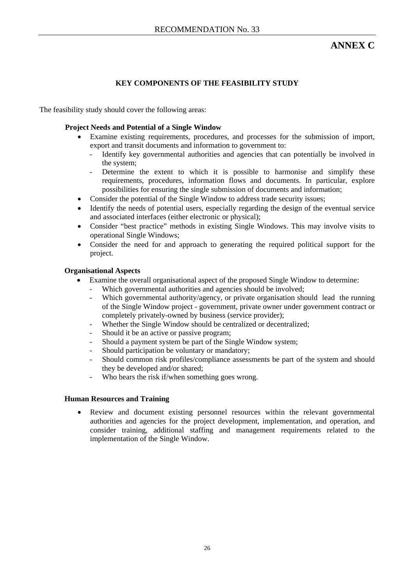## **ANNEX C**

#### **KEY COMPONENTS OF THE FEASIBILITY STUDY**

The feasibility study should cover the following areas:

#### **Project Needs and Potential of a Single Window**

- Examine existing requirements, procedures, and processes for the submission of import, export and transit documents and information to government to:
	- Identify key governmental authorities and agencies that can potentially be involved in the system;
	- Determine the extent to which it is possible to harmonise and simplify these requirements, procedures, information flows and documents. In particular, explore possibilities for ensuring the single submission of documents and information;
- Consider the potential of the Single Window to address trade security issues;
- Identify the needs of potential users, especially regarding the design of the eventual service and associated interfaces (either electronic or physical);
- Consider "best practice" methods in existing Single Windows. This may involve visits to operational Single Windows;
- Consider the need for and approach to generating the required political support for the project.

#### **Organisational Aspects**

- Examine the overall organisational aspect of the proposed Single Window to determine:
	- Which governmental authorities and agencies should be involved;
	- Which governmental authority/agency, or private organisation should lead the running of the Single Window project - government, private owner under government contract or completely privately-owned by business (service provider);
	- Whether the Single Window should be centralized or decentralized;
	- Should it be an active or passive program;
	- Should a payment system be part of the Single Window system;
	- Should participation be voluntary or mandatory;
	- Should common risk profiles/compliance assessments be part of the system and should they be developed and/or shared;
	- Who bears the risk if/when something goes wrong.

#### **Human Resources and Training**

Review and document existing personnel resources within the relevant governmental authorities and agencies for the project development, implementation, and operation, and consider training, additional staffing and management requirements related to the implementation of the Single Window.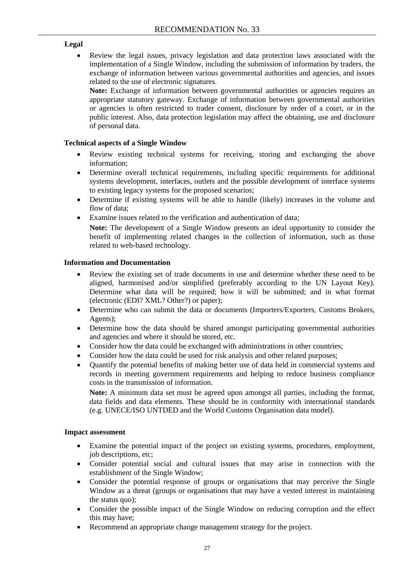#### **Legal**

• Review the legal issues, privacy legislation and data protection laws associated with the implementation of a Single Window, including the submission of information by traders, the exchange of information between various governmental authorities and agencies, and issues related to the use of electronic signatures.

Note: Exchange of information between governmental authorities or agencies requires an appropriate statutory gateway. Exchange of information between governmental authorities or agencies is often restricted to trader consent, disclosure by order of a court, or in the public interest. Also, data protection legislation may affect the obtaining, use and disclosure of personal data.

#### **Technical aspects of a Single Window**

- Review existing technical systems for receiving, storing and exchanging the above information;
- Determine overall technical requirements, including specific requirements for additional systems development, interfaces, outlets and the possible development of interface systems to existing legacy systems for the proposed scenarios;
- Determine if existing systems will be able to handle (likely) increases in the volume and flow of data;
- Examine issues related to the verification and authentication of data;

**Note:** The development of a Single Window presents an ideal opportunity to consider the benefit of implementing related changes in the collection of information, such as those related to web-based technology.

#### **Information and Documentation**

- Review the existing set of trade documents in use and determine whether these need to be aligned, harmonised and/or simplified (preferably according to the UN Layout Key). Determine what data will be required; how it will be submitted; and in what format (electronic (EDI? XML? Other?) or paper);
- Determine who can submit the data or documents (Importers/Exporters, Customs Brokers, Agents);
- Determine how the data should be shared amongst participating governmental authorities and agencies and where it should be stored, etc.
- Consider how the data could be exchanged with administrations in other countries;
- Consider how the data could be used for risk analysis and other related purposes;
- Quantify the potential benefits of making better use of data held in commercial systems and records in meeting government requirements and helping to reduce business compliance costs in the transmission of information.

**Note:** A minimum data set must be agreed upon amongst all parties, including the format, data fields and data elements. These should be in conformity with international standards (e.g. UNECE/ISO UNTDED and the World Customs Organisation data model).

#### **Impact assessment**

- Examine the potential impact of the project on existing systems, procedures, employment, job descriptions, etc;
- Consider potential social and cultural issues that may arise in connection with the establishment of the Single Window;
- Consider the potential response of groups or organisations that may perceive the Single Window as a threat (groups or organisations that may have a vested interest in maintaining the status quo);
- Consider the possible impact of the Single Window on reducing corruption and the effect this may have;
- Recommend an appropriate change management strategy for the project.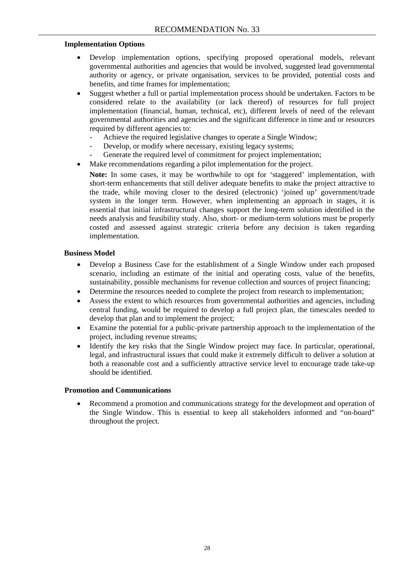#### **Implementation Options**

- Develop implementation options, specifying proposed operational models, relevant governmental authorities and agencies that would be involved, suggested lead governmental authority or agency, or private organisation, services to be provided, potential costs and benefits, and time frames for implementation;
- Suggest whether a full or partial implementation process should be undertaken. Factors to be considered relate to the availability (or lack thereof) of resources for full project implementation (financial, human, technical, etc), different levels of need of the relevant governmental authorities and agencies and the significant difference in time and or resources required by different agencies to:
	- Achieve the required legislative changes to operate a Single Window;
	- Develop, or modify where necessary, existing legacy systems;
	- Generate the required level of commitment for project implementation;
- Make recommendations regarding a pilot implementation for the project.
	- **Note:** In some cases, it may be worthwhile to opt for 'staggered' implementation, with short-term enhancements that still deliver adequate benefits to make the project attractive to the trade, while moving closer to the desired (electronic) 'joined up' government/trade system in the longer term. However, when implementing an approach in stages, it is essential that initial infrastructural changes support the long-term solution identified in the needs analysis and feasibility study. Also, short- or medium-term solutions must be properly costed and assessed against strategic criteria before any decision is taken regarding implementation.

#### **Business Model**

- Develop a Business Case for the establishment of a Single Window under each proposed scenario, including an estimate of the initial and operating costs, value of the benefits, sustainability, possible mechanisms for revenue collection and sources of project financing;
- Determine the resources needed to complete the project from research to implementation;
- Assess the extent to which resources from governmental authorities and agencies, including central funding, would be required to develop a full project plan, the timescales needed to develop that plan and to implement the project;
- Examine the potential for a public-private partnership approach to the implementation of the project, including revenue streams;
- Identify the key risks that the Single Window project may face. In particular, operational, legal, and infrastructural issues that could make it extremely difficult to deliver a solution at both a reasonable cost and a sufficiently attractive service level to encourage trade take-up should be identified.

#### **Promotion and Communications**

• Recommend a promotion and communications strategy for the development and operation of the Single Window. This is essential to keep all stakeholders informed and "on-board" throughout the project.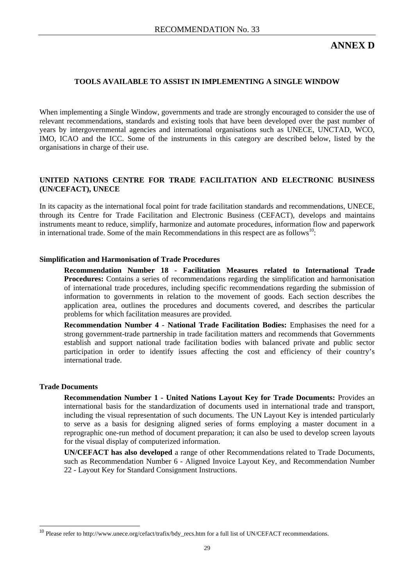#### **TOOLS AVAILABLE TO ASSIST IN IMPLEMENTING A SINGLE WINDOW**

When implementing a Single Window, governments and trade are strongly encouraged to consider the use of relevant recommendations, standards and existing tools that have been developed over the past number of years by intergovernmental agencies and international organisations such as UNECE, UNCTAD, WCO, IMO, ICAO and the ICC. Some of the instruments in this category are described below, listed by the organisations in charge of their use.

#### **UNITED NATIONS CENTRE FOR TRADE FACILITATION AND ELECTRONIC BUSINESS (UN/CEFACT), UNECE**

In its capacity as the international focal point for trade facilitation standards and recommendations, UNECE, through its Centre for Trade Facilitation and Electronic Business (CEFACT), develops and maintains instruments meant to reduce, simplify, harmonize and automate procedures, information flow and paperwork in international trade. Some of the main Recommendations in this respect are as follows<sup>10</sup>:

#### **Simplification and Harmonisation of Trade Procedures**

**Recommendation Number 18 - Facilitation Measures related to International Trade Procedures:** Contains a series of recommendations regarding the simplification and harmonisation of international trade procedures, including specific recommendations regarding the submission of information to governments in relation to the movement of goods. Each section describes the application area, outlines the procedures and documents covered, and describes the particular problems for which facilitation measures are provided.

**Recommendation Number 4 - National Trade Facilitation Bodies:** Emphasises the need for a strong government-trade partnership in trade facilitation matters and recommends that Governments establish and support national trade facilitation bodies with balanced private and public sector participation in order to identify issues affecting the cost and efficiency of their country's international trade.

#### **Trade Documents**

 $\overline{a}$ 

**Recommendation Number 1 - United Nations Layout Key for Trade Documents:** Provides an international basis for the standardization of documents used in international trade and transport, including the visual representation of such documents. The UN Layout Key is intended particularly to serve as a basis for designing aligned series of forms employing a master document in a reprographic one-run method of document preparation; it can also be used to develop screen layouts for the visual display of computerized information.

**UN/CEFACT has also developed** a range of other Recommendations related to Trade Documents, such as Recommendation Number 6 - Aligned Invoice Layout Key, and Recommendation Number 22 - Layout Key for Standard Consignment Instructions.

<span id="page-32-0"></span><sup>&</sup>lt;sup>10</sup> Please refer to [http://www.unece.org/cefact/trafix/bdy\\_recs.htm](http://www.unece.org/cefact/trafix/bdy_recs.htm) for a full list of UN/CEFACT recommendations.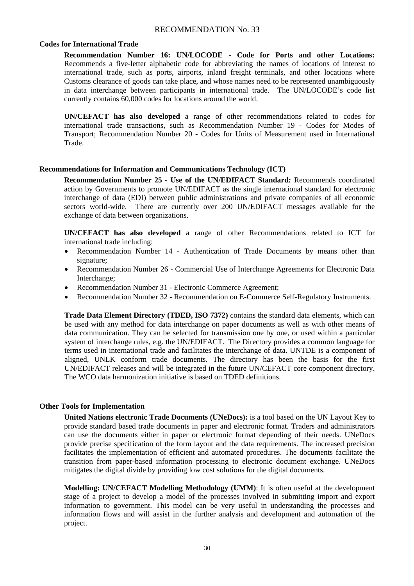#### **Codes for International Trade**

**Recommendation Number 16: UN/LOCODE - Code for Ports and other Locations:**  Recommends a five-letter alphabetic code for abbreviating the names of locations of interest to international trade, such as ports, airports, inland freight terminals, and other locations where Customs clearance of goods can take place, and whose names need to be represented unambiguously in data interchange between participants in international trade. The UN/LOCODE's code list currently contains 60,000 codes for locations around the world.

**UN/CEFACT has also developed** a range of other recommendations related to codes for international trade transactions, such as Recommendation Number 19 - Codes for Modes of Transport; Recommendation Number 20 - Codes for Units of Measurement used in International Trade.

#### **Recommendations for Information and Communications Technology (ICT)**

**Recommendation Number 25 - Use of the UN/EDIFACT Standard:** Recommends coordinated action by Governments to promote UN/EDIFACT as the single international standard for electronic interchange of data (EDI) between public administrations and private companies of all economic sectors world-wide. There are currently over 200 UN/EDIFACT messages available for the exchange of data between organizations.

**UN/CEFACT has also developed** a range of other Recommendations related to ICT for international trade including:

- Recommendation Number 14 Authentication of Trade Documents by means other than signature;
- Recommendation Number 26 Commercial Use of Interchange Agreements for Electronic Data Interchange;
- Recommendation Number 31 Electronic Commerce Agreement;
- Recommendation Number 32 Recommendation on E-Commerce Self-Regulatory Instruments.

**Trade Data Element Directory (TDED, ISO 7372)** contains the standard data elements, which can be used with any method for data interchange on paper documents as well as with other means of data communication. They can be selected for transmission one by one, or used within a particular system of interchange rules, e.g. the UN/EDIFACT. The Directory provides a common language for terms used in international trade and facilitates the interchange of data. UNTDE is a component of aligned, UNLK conform trade documents. The directory has been the basis for the first UN/EDIFACT releases and will be integrated in the future UN/CEFACT core component directory. The WCO data harmonization initiative is based on TDED definitions.

#### **Other Tools for Implementation**

**United Nations electronic Trade Documents (UNeDocs):** is a tool based on the UN Layout Key to provide standard based trade documents in paper and electronic format. Traders and administrators can use the documents either in paper or electronic format depending of their needs. UNeDocs provide precise specification of the form layout and the data requirements. The increased precision facilitates the implementation of efficient and automated procedures. The documents facilitate the transition from paper-based information processing to electronic document exchange. UNeDocs mitigates the digital divide by providing low cost solutions for the digital documents.

**Modelling: UN/CEFACT Modelling Methodology (UMM)**: It is often useful at the development stage of a project to develop a model of the processes involved in submitting import and export information to government. This model can be very useful in understanding the processes and information flows and will assist in the further analysis and development and automation of the project.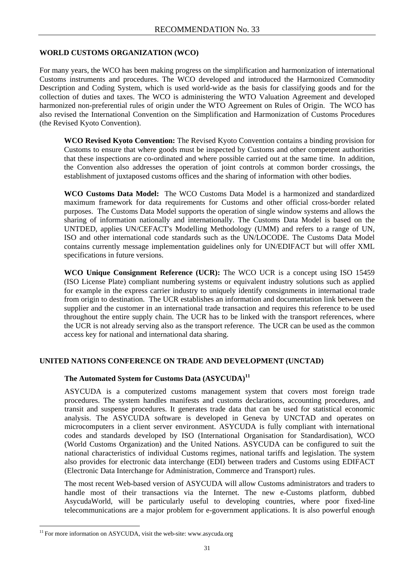#### **WORLD CUSTOMS ORGANIZATION (WCO)**

For many years, the WCO has been making progress on the simplification and harmonization of international Customs instruments and procedures. The WCO developed and introduced the Harmonized Commodity Description and Coding System, which is used world-wide as the basis for classifying goods and for the collection of duties and taxes. The WCO is administering the WTO Valuation Agreement and developed harmonized non-preferential rules of origin under the WTO Agreement on Rules of Origin. The WCO has also revised the International Convention on the Simplification and Harmonization of Customs Procedures (the Revised Kyoto Convention).

**WCO Revised Kyoto Convention:** The Revised Kyoto Convention contains a binding provision for Customs to ensure that where goods must be inspected by Customs and other competent authorities that these inspections are co-ordinated and where possible carried out at the same time. In addition, the Convention also addresses the operation of joint controls at common border crossings, the establishment of juxtaposed customs offices and the sharing of information with other bodies.

**WCO Customs Data Model:** The WCO Customs Data Model is a harmonized and standardized maximum framework for data requirements for Customs and other official cross-border related purposes. The Customs Data Model supports the operation of single window systems and allows the sharing of information nationally and internationally. The Customs Data Model is based on the UNTDED, applies UN/CEFACT's Modelling Methodology (UMM) and refers to a range of UN, ISO and other international code standards such as the UN/LOCODE. The Customs Data Model contains currently message implementation guidelines only for UN/EDIFACT but will offer XML specifications in future versions.

**WCO Unique Consignment Reference (UCR):** The WCO UCR is a concept using ISO 15459 (ISO License Plate) compliant numbering systems or equivalent industry solutions such as applied for example in the express carrier industry to uniquely identify consignments in international trade from origin to destination. The UCR establishes an information and documentation link between the supplier and the customer in an international trade transaction and requires this reference to be used throughout the entire supply chain. The UCR has to be linked with the transport references, where the UCR is not already serving also as the transport reference. The UCR can be used as the common access key for national and international data sharing.

#### **UNITED NATIONS CONFERENCE ON TRADE AND DEVELOPMENT (UNCTAD)**

#### **The Automated System for Customs Data (ASYCUDA)[11](#page-34-0)**

ASYCUDA is a computerized customs management system that covers most foreign trade procedures. The system handles manifests and customs declarations, accounting procedures, and transit and suspense procedures. It generates trade data that can be used for statistical economic analysis. The ASYCUDA software is developed in Geneva by UNCTAD and operates on microcomputers in a client server environment. ASYCUDA is fully compliant with international codes and standards developed by ISO (International Organisation for Standardisation), WCO (World Customs Organization) and the United Nations. ASYCUDA can be configured to suit the national characteristics of individual Customs regimes, national tariffs and legislation. The system also provides for electronic data interchange (EDI) between traders and Customs using EDIFACT (Electronic Data Interchange for Administration, Commerce and Transport) rules.

The most recent Web-based version of ASYCUDA will allow Customs administrators and traders to handle most of their transactions via the Internet. The new e-Customs platform, dubbed AsycudaWorld, will be particularly useful to developing countries, where poor fixed-line telecommunications are a major problem for e-government applications. It is also powerful enough

 $\overline{a}$ 

<span id="page-34-0"></span><sup>&</sup>lt;sup>11</sup> For more information on ASYCUDA, visit the web-site: www.asycuda.org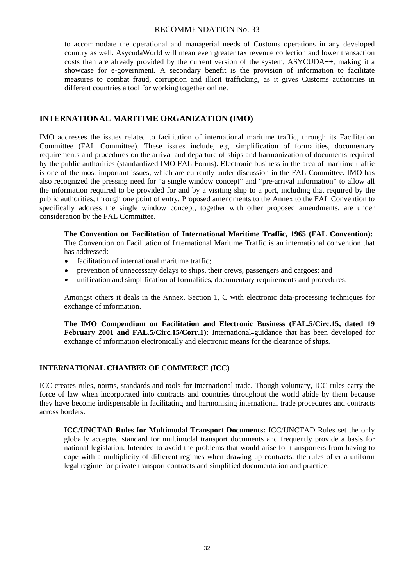to accommodate the operational and managerial needs of Customs operations in any developed country as well. AsycudaWorld will mean even greater tax revenue collection and lower transaction costs than are already provided by the current version of the system, ASYCUDA++, making it a showcase for e-government. A secondary benefit is the provision of information to facilitate measures to combat fraud, corruption and illicit trafficking, as it gives Customs authorities in different countries a tool for working together online.

#### **INTERNATIONAL MARITIME ORGANIZATION (IMO)**

IMO addresses the issues related to facilitation of international maritime traffic, through its Facilitation Committee (FAL Committee). These issues include, e.g. simplification of formalities, documentary requirements and procedures on the arrival and departure of ships and harmonization of documents required by the public authorities (standardized IMO FAL Forms). Electronic business in the area of maritime traffic is one of the most important issues, which are currently under discussion in the FAL Committee. IMO has also recognized the pressing need for "a single window concept" and "pre-arrival information" to allow all the information required to be provided for and by a visiting ship to a port, including that required by the public authorities, through one point of entry. Proposed amendments to the Annex to the FAL Convention to specifically address the single window concept, together with other proposed amendments, are under consideration by the FAL Committee.

**The Convention on Facilitation of International Maritime Traffic, 1965 (FAL Convention):** The Convention on Facilitation of International Maritime Traffic is an international convention that has addressed:

- facilitation of international maritime traffic;
- prevention of unnecessary delays to ships, their crews, passengers and cargoes; and
- unification and simplification of formalities, documentary requirements and procedures.

Amongst others it deals in the Annex, Section 1, C with electronic data-processing techniques for exchange of information.

**The IMO Compendium on Facilitation and Electronic Business (FAL.5/Circ.15, dated 19**  February 2001 and FAL.5/Circ.15/Corr.1): International-guidance that has been developed for exchange of information electronically and electronic means for the clearance of ships.

#### **INTERNATIONAL CHAMBER OF COMMERCE (ICC)**

ICC creates rules, norms, standards and tools for international trade. Though voluntary, ICC rules carry the force of law when incorporated into contracts and countries throughout the world abide by them because they have become indispensable in facilitating and harmonising international trade procedures and contracts across borders.

**ICC/UNCTAD Rules for Multimodal Transport Documents:** ICC/UNCTAD Rules set the only globally accepted standard for multimodal transport documents and frequently provide a basis for national legislation. Intended to avoid the problems that would arise for transporters from having to cope with a multiplicity of different regimes when drawing up contracts, the rules offer a uniform legal regime for private transport contracts and simplified documentation and practice.